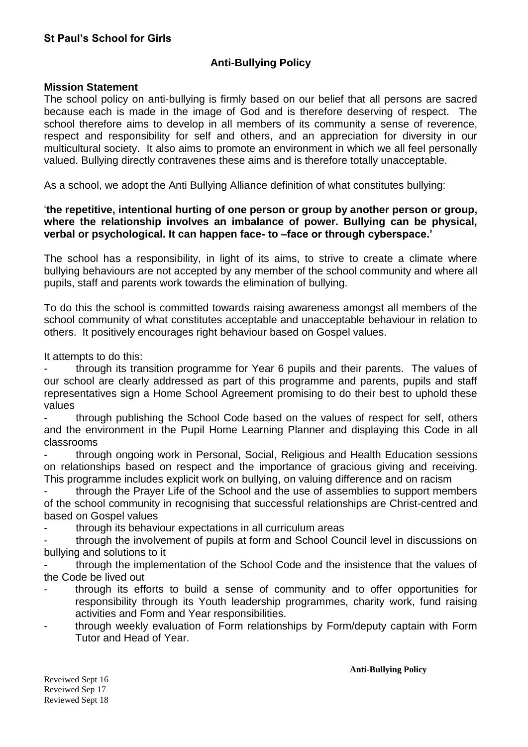# **Anti-Bullying Policy**

### **Mission Statement**

The school policy on anti-bullying is firmly based on our belief that all persons are sacred because each is made in the image of God and is therefore deserving of respect. The school therefore aims to develop in all members of its community a sense of reverence, respect and responsibility for self and others, and an appreciation for diversity in our multicultural society. It also aims to promote an environment in which we all feel personally valued. Bullying directly contravenes these aims and is therefore totally unacceptable.

As a school, we adopt the Anti Bullying Alliance definition of what constitutes bullying:

### '**the repetitive, intentional hurting of one person or group by another person or group, where the relationship involves an imbalance of power. Bullying can be physical, verbal or psychological. It can happen face- to –face or through cyberspace.'**

The school has a responsibility, in light of its aims, to strive to create a climate where bullying behaviours are not accepted by any member of the school community and where all pupils, staff and parents work towards the elimination of bullying.

To do this the school is committed towards raising awareness amongst all members of the school community of what constitutes acceptable and unacceptable behaviour in relation to others. It positively encourages right behaviour based on Gospel values.

It attempts to do this:

through its transition programme for Year 6 pupils and their parents. The values of our school are clearly addressed as part of this programme and parents, pupils and staff representatives sign a Home School Agreement promising to do their best to uphold these values

- through publishing the School Code based on the values of respect for self, others and the environment in the Pupil Home Learning Planner and displaying this Code in all classrooms

- through ongoing work in Personal, Social, Religious and Health Education sessions on relationships based on respect and the importance of gracious giving and receiving. This programme includes explicit work on bullying, on valuing difference and on racism

through the Prayer Life of the School and the use of assemblies to support members of the school community in recognising that successful relationships are Christ-centred and based on Gospel values

through its behaviour expectations in all curriculum areas

through the involvement of pupils at form and School Council level in discussions on bullying and solutions to it

- through the implementation of the School Code and the insistence that the values of the Code be lived out

- through its efforts to build a sense of community and to offer opportunities for responsibility through its Youth leadership programmes, charity work, fund raising activities and Form and Year responsibilities.
- through weekly evaluation of Form relationships by Form/deputy captain with Form Tutor and Head of Year.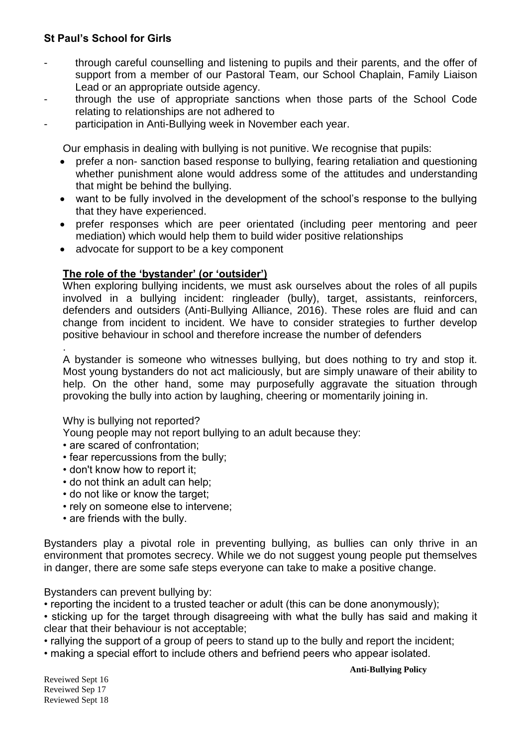- through careful counselling and listening to pupils and their parents, and the offer of support from a member of our Pastoral Team, our School Chaplain, Family Liaison Lead or an appropriate outside agency.
- through the use of appropriate sanctions when those parts of the School Code relating to relationships are not adhered to
- participation in Anti-Bullying week in November each year.

Our emphasis in dealing with bullying is not punitive. We recognise that pupils:

- prefer a non- sanction based response to bullying, fearing retaliation and questioning whether punishment alone would address some of the attitudes and understanding that might be behind the bullying.
- want to be fully involved in the development of the school's response to the bullying that they have experienced.
- prefer responses which are peer orientated (including peer mentoring and peer mediation) which would help them to build wider positive relationships
- advocate for support to be a key component

# **The role of the 'bystander' (or 'outsider')**

When exploring bullying incidents, we must ask ourselves about the roles of all pupils involved in a bullying incident: ringleader (bully), target, assistants, reinforcers, defenders and outsiders (Anti-Bullying Alliance, 2016). These roles are fluid and can change from incident to incident. We have to consider strategies to further develop positive behaviour in school and therefore increase the number of defenders

. A bystander is someone who witnesses bullying, but does nothing to try and stop it. Most young bystanders do not act maliciously, but are simply unaware of their ability to help. On the other hand, some may purposefully aggravate the situation through provoking the bully into action by laughing, cheering or momentarily joining in.

### Why is bullying not reported?

- Young people may not report bullying to an adult because they:
- are scared of confrontation;
- fear repercussions from the bully;
- don't know how to report it;
- do not think an adult can help;
- do not like or know the target:
- rely on someone else to intervene;
- are friends with the bully.

Bystanders play a pivotal role in preventing bullying, as bullies can only thrive in an environment that promotes secrecy. While we do not suggest young people put themselves in danger, there are some safe steps everyone can take to make a positive change.

Bystanders can prevent bullying by:

• reporting the incident to a trusted teacher or adult (this can be done anonymously);

• sticking up for the target through disagreeing with what the bully has said and making it clear that their behaviour is not acceptable;

- rallying the support of a group of peers to stand up to the bully and report the incident;
- making a special effort to include others and befriend peers who appear isolated.

**Anti-Bullying Policy**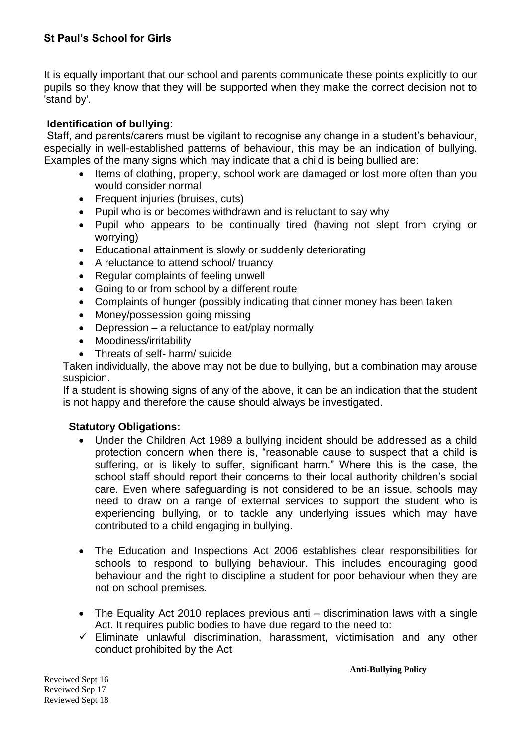It is equally important that our school and parents communicate these points explicitly to our pupils so they know that they will be supported when they make the correct decision not to 'stand by'.

# **Identification of bullying**:

Staff, and parents/carers must be vigilant to recognise any change in a student's behaviour, especially in well-established patterns of behaviour, this may be an indication of bullying. Examples of the many signs which may indicate that a child is being bullied are:

- Items of clothing, property, school work are damaged or lost more often than you would consider normal
- Frequent injuries (bruises, cuts)
- Pupil who is or becomes withdrawn and is reluctant to say why
- Pupil who appears to be continually tired (having not slept from crying or worrying)
- Educational attainment is slowly or suddenly deteriorating
- A reluctance to attend school/ truancy
- Regular complaints of feeling unwell
- Going to or from school by a different route
- Complaints of hunger (possibly indicating that dinner money has been taken
- Money/possession going missing
- Depression a reluctance to eat/play normally
- Moodiness/irritability
- Threats of self- harm/ suicide

Taken individually, the above may not be due to bullying, but a combination may arouse suspicion.

If a student is showing signs of any of the above, it can be an indication that the student is not happy and therefore the cause should always be investigated.

# **Statutory Obligations:**

- Under the Children Act 1989 a bullying incident should be addressed as a child protection concern when there is, "reasonable cause to suspect that a child is suffering, or is likely to suffer, significant harm." Where this is the case, the school staff should report their concerns to their local authority children's social care. Even where safeguarding is not considered to be an issue, schools may need to draw on a range of external services to support the student who is experiencing bullying, or to tackle any underlying issues which may have contributed to a child engaging in bullying.
- The Education and Inspections Act 2006 establishes clear responsibilities for schools to respond to bullying behaviour. This includes encouraging good behaviour and the right to discipline a student for poor behaviour when they are not on school premises.
- The Equality Act 2010 replaces previous anti discrimination laws with a single Act. It requires public bodies to have due regard to the need to:
- $\checkmark$  Eliminate unlawful discrimination, harassment, victimisation and any other conduct prohibited by the Act

**Anti-Bullying Policy**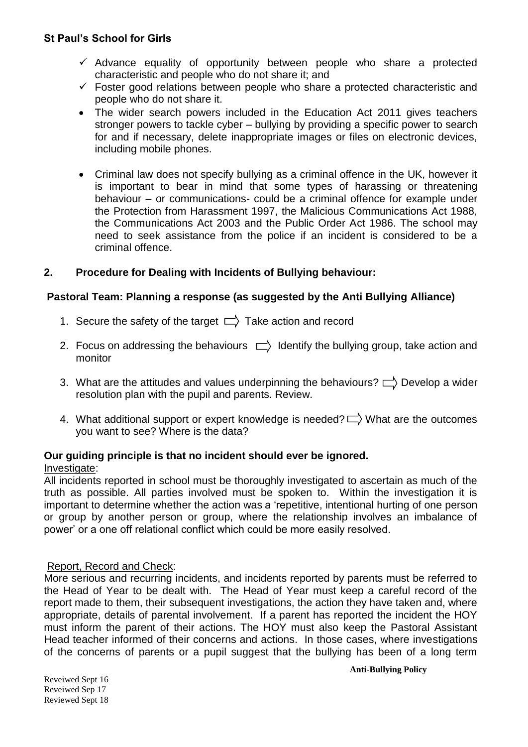- $\checkmark$  Advance equality of opportunity between people who share a protected characteristic and people who do not share it; and
- $\checkmark$  Foster good relations between people who share a protected characteristic and people who do not share it.
- The wider search powers included in the Education Act 2011 gives teachers stronger powers to tackle cyber – bullying by providing a specific power to search for and if necessary, delete inappropriate images or files on electronic devices, including mobile phones.
- Criminal law does not specify bullying as a criminal offence in the UK, however it is important to bear in mind that some types of harassing or threatening behaviour – or communications- could be a criminal offence for example under the Protection from Harassment 1997, the Malicious Communications Act 1988, the Communications Act 2003 and the Public Order Act 1986. The school may need to seek assistance from the police if an incident is considered to be a criminal offence.

# **2. Procedure for Dealing with Incidents of Bullying behaviour:**

### **Pastoral Team: Planning a response (as suggested by the Anti Bullying Alliance)**

- 1. Secure the safety of the target  $\Box$  Take action and record
- 2. Focus on addressing the behaviours  $\Box$  Identify the bullying group, take action and monitor
- 3. What are the attitudes and values underpinning the behaviours?  $\Box$ ) Develop a wider resolution plan with the pupil and parents. Review.
- 4. What additional support or expert knowledge is needed?  $\Box$  What are the outcomes you want to see? Where is the data?

# **Our guiding principle is that no incident should ever be ignored.**

### Investigate:

All incidents reported in school must be thoroughly investigated to ascertain as much of the truth as possible. All parties involved must be spoken to. Within the investigation it is important to determine whether the action was a 'repetitive, intentional hurting of one person or group by another person or group, where the relationship involves an imbalance of power' or a one off relational conflict which could be more easily resolved.

### Report, Record and Check:

More serious and recurring incidents, and incidents reported by parents must be referred to the Head of Year to be dealt with. The Head of Year must keep a careful record of the report made to them, their subsequent investigations, the action they have taken and, where appropriate, details of parental involvement. If a parent has reported the incident the HOY must inform the parent of their actions. The HOY must also keep the Pastoral Assistant Head teacher informed of their concerns and actions. In those cases, where investigations of the concerns of parents or a pupil suggest that the bullying has been of a long term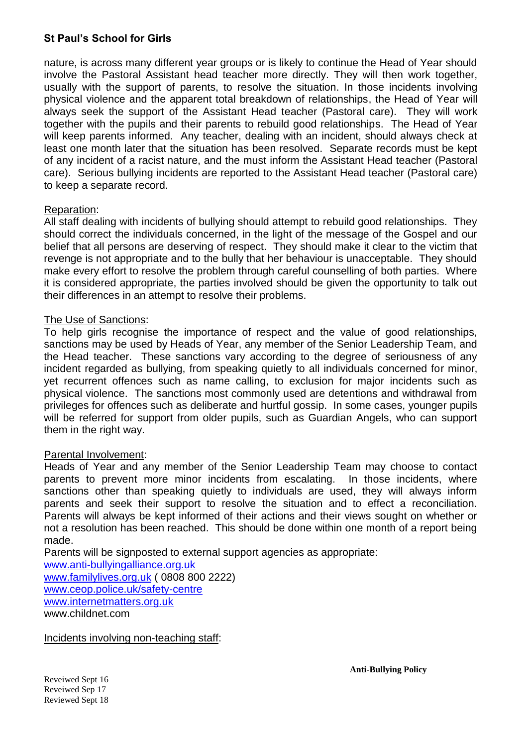nature, is across many different year groups or is likely to continue the Head of Year should involve the Pastoral Assistant head teacher more directly. They will then work together, usually with the support of parents, to resolve the situation. In those incidents involving physical violence and the apparent total breakdown of relationships, the Head of Year will always seek the support of the Assistant Head teacher (Pastoral care). They will work together with the pupils and their parents to rebuild good relationships. The Head of Year will keep parents informed. Any teacher, dealing with an incident, should always check at least one month later that the situation has been resolved. Separate records must be kept of any incident of a racist nature, and the must inform the Assistant Head teacher (Pastoral care). Serious bullying incidents are reported to the Assistant Head teacher (Pastoral care) to keep a separate record.

### Reparation:

All staff dealing with incidents of bullying should attempt to rebuild good relationships. They should correct the individuals concerned, in the light of the message of the Gospel and our belief that all persons are deserving of respect. They should make it clear to the victim that revenge is not appropriate and to the bully that her behaviour is unacceptable. They should make every effort to resolve the problem through careful counselling of both parties. Where it is considered appropriate, the parties involved should be given the opportunity to talk out their differences in an attempt to resolve their problems.

#### The Use of Sanctions:

To help girls recognise the importance of respect and the value of good relationships, sanctions may be used by Heads of Year, any member of the Senior Leadership Team, and the Head teacher. These sanctions vary according to the degree of seriousness of any incident regarded as bullying, from speaking quietly to all individuals concerned for minor, yet recurrent offences such as name calling, to exclusion for major incidents such as physical violence. The sanctions most commonly used are detentions and withdrawal from privileges for offences such as deliberate and hurtful gossip. In some cases, younger pupils will be referred for support from older pupils, such as Guardian Angels, who can support them in the right way.

### Parental Involvement:

Heads of Year and any member of the Senior Leadership Team may choose to contact parents to prevent more minor incidents from escalating. In those incidents, where sanctions other than speaking quietly to individuals are used, they will always inform parents and seek their support to resolve the situation and to effect a reconciliation. Parents will always be kept informed of their actions and their views sought on whether or not a resolution has been reached. This should be done within one month of a report being made.

Parents will be signposted to external support agencies as appropriate:

[www.anti-bullyingalliance.org.uk](http://www.anti-bullyingalliance.org.uk/) [www.familylives.org.uk](http://www.familylives.org.uk/) ( 0808 800 2222) [www.ceop.police.uk/safety-centre](http://www.ceop.police.uk/safety-centre) [www.internetmatters.org.uk](http://www.internetmatters.org.uk/) www.childnet.com

Incidents involving non-teaching staff: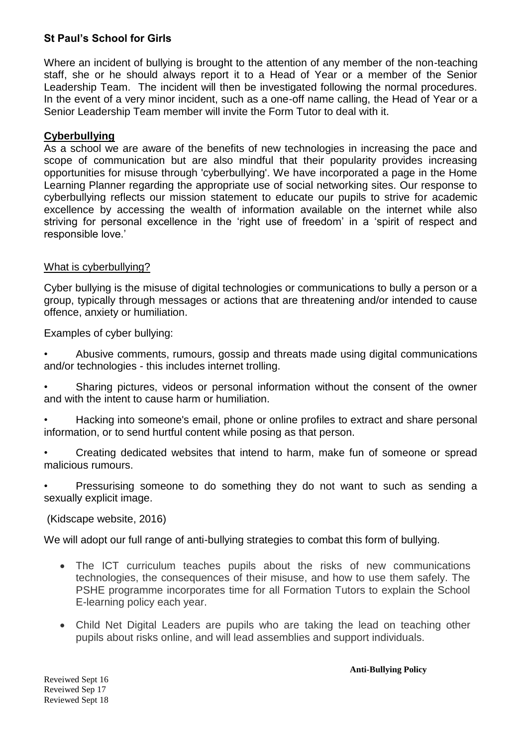Where an incident of bullying is brought to the attention of any member of the non-teaching staff, she or he should always report it to a Head of Year or a member of the Senior Leadership Team. The incident will then be investigated following the normal procedures. In the event of a very minor incident, such as a one-off name calling, the Head of Year or a Senior Leadership Team member will invite the Form Tutor to deal with it.

### **Cyberbullying**

As a school we are aware of the benefits of new technologies in increasing the pace and scope of communication but are also mindful that their popularity provides increasing opportunities for misuse through 'cyberbullying'. We have incorporated a page in the Home Learning Planner regarding the appropriate use of social networking sites. Our response to cyberbullying reflects our mission statement to educate our pupils to strive for academic excellence by accessing the wealth of information available on the internet while also striving for personal excellence in the 'right use of freedom' in a 'spirit of respect and responsible love.'

### What is cyberbullying?

Cyber bullying is the misuse of digital technologies or communications to bully a person or a group, typically through messages or actions that are threatening and/or intended to cause offence, anxiety or humiliation.

Examples of cyber bullying:

• Abusive comments, rumours, gossip and threats made using digital communications and/or technologies - this includes internet trolling.

Sharing pictures, videos or personal information without the consent of the owner and with the intent to cause harm or humiliation.

• Hacking into someone's email, phone or online profiles to extract and share personal information, or to send hurtful content while posing as that person.

• Creating dedicated websites that intend to harm, make fun of someone or spread malicious rumours.

• Pressurising someone to do something they do not want to such as sending a sexually explicit image.

(Kidscape website, 2016)

We will adopt our full range of anti-bullying strategies to combat this form of bullying.

- The ICT curriculum teaches pupils about the risks of new communications technologies, the consequences of their misuse, and how to use them safely. The PSHE programme incorporates time for all Formation Tutors to explain the School E-learning policy each year.
- Child Net Digital Leaders are pupils who are taking the lead on teaching other pupils about risks online, and will lead assemblies and support individuals.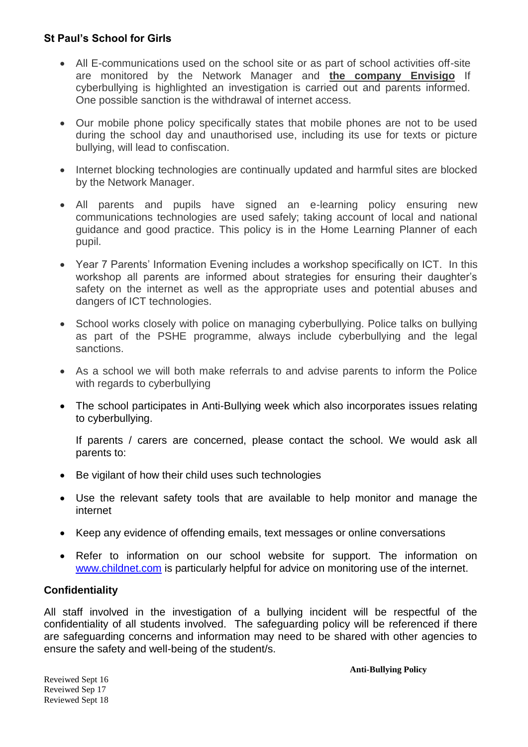- All E-communications used on the school site or as part of school activities off-site are monitored by the Network Manager and **the company Envisigo** If cyberbullying is highlighted an investigation is carried out and parents informed. One possible sanction is the withdrawal of internet access.
- Our mobile phone policy specifically states that mobile phones are not to be used during the school day and unauthorised use, including its use for texts or picture bullying, will lead to confiscation.
- Internet blocking technologies are continually updated and harmful sites are blocked by the Network Manager.
- All parents and pupils have signed an e-learning policy ensuring new communications technologies are used safely; taking account of local and national guidance and good practice. This policy is in the Home Learning Planner of each pupil.
- Year 7 Parents' Information Evening includes a workshop specifically on ICT. In this workshop all parents are informed about strategies for ensuring their daughter's safety on the internet as well as the appropriate uses and potential abuses and dangers of ICT technologies.
- School works closely with police on managing cyberbullying. Police talks on bullying as part of the PSHE programme, always include cyberbullying and the legal sanctions.
- As a school we will both make referrals to and advise parents to inform the Police with regards to cyberbullying
- The school participates in Anti-Bullying week which also incorporates issues relating to cyberbullying.

If parents / carers are concerned, please contact the school. We would ask all parents to:

- Be vigilant of how their child uses such technologies
- Use the relevant safety tools that are available to help monitor and manage the internet
- Keep any evidence of offending emails, text messages or online conversations
- Refer to information on our school website for support. The information on [www.childnet.com](http://www.childnet.com/) is particularly helpful for advice on monitoring use of the internet.

# **Confidentiality**

All staff involved in the investigation of a bullying incident will be respectful of the confidentiality of all students involved. The safeguarding policy will be referenced if there are safeguarding concerns and information may need to be shared with other agencies to ensure the safety and well-being of the student/s.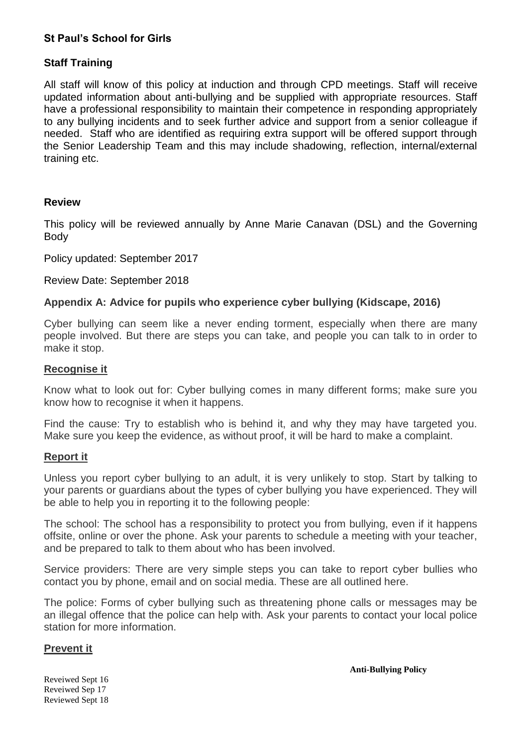### **Staff Training**

All staff will know of this policy at induction and through CPD meetings. Staff will receive updated information about anti-bullying and be supplied with appropriate resources. Staff have a professional responsibility to maintain their competence in responding appropriately to any bullying incidents and to seek further advice and support from a senior colleague if needed. Staff who are identified as requiring extra support will be offered support through the Senior Leadership Team and this may include shadowing, reflection, internal/external training etc.

### **Review**

This policy will be reviewed annually by Anne Marie Canavan (DSL) and the Governing Body

Policy updated: September 2017

Review Date: September 2018

### **Appendix A: Advice for pupils who experience cyber bullying (Kidscape, 2016)**

Cyber bullying can seem like a never ending torment, especially when there are many people involved. But there are steps you can take, and people you can talk to in order to make it stop.

#### **Recognise it**

Know what to look out for: Cyber bullying comes in many different forms; make sure you know how to recognise it when it happens.

Find the cause: Try to establish who is behind it, and why they may have targeted you. Make sure you keep the evidence, as without proof, it will be hard to make a complaint.

### **Report it**

Unless you report cyber bullying to an adult, it is very unlikely to stop. Start by talking to your parents or guardians about the types of cyber bullying you have experienced. They will be able to help you in reporting it to the following people:

The school: The school has a responsibility to protect you from bullying, even if it happens offsite, online or over the phone. Ask your parents to schedule a meeting with your teacher, and be prepared to talk to them about who has been involved.

Service providers: There are very simple steps you can take to report cyber bullies who contact you by phone, email and on social media. These are all outlined here.

The police: Forms of cyber bullying such as threatening phone calls or messages may be an illegal offence that the police can help with. Ask your parents to contact your local police station for more information.

### **Prevent it**

**Anti-Bullying Policy**

Reveiwed Sept 16 Reveiwed Sep 17 Reviewed Sept 18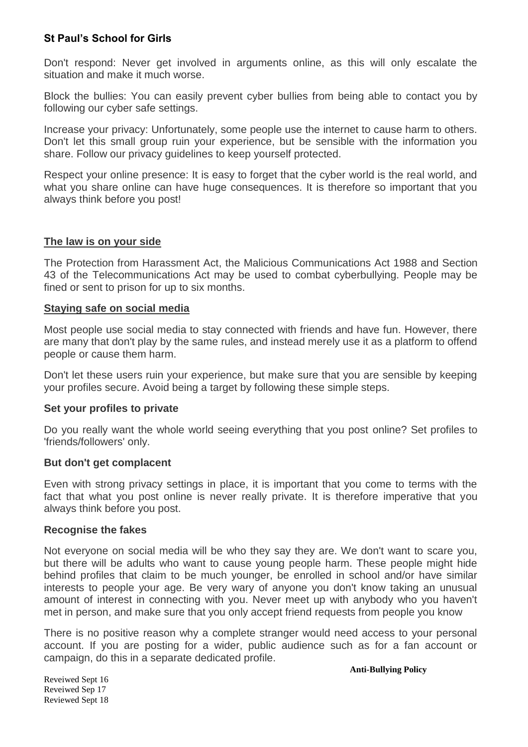Don't respond: Never get involved in arguments online, as this will only escalate the situation and make it much worse.

Block the bullies: You can easily prevent cyber bullies from being able to contact you by following our cyber safe settings.

Increase your privacy: Unfortunately, some people use the internet to cause harm to others. Don't let this small group ruin your experience, but be sensible with the information you share. Follow our privacy guidelines to keep yourself protected.

Respect your online presence: It is easy to forget that the cyber world is the real world, and what you share online can have huge consequences. It is therefore so important that you always think before you post!

#### **The law is on your side**

The Protection from Harassment Act, the Malicious Communications Act 1988 and Section 43 of the Telecommunications Act may be used to combat cyberbullying. People may be fined or sent to prison for up to six months.

#### **Staying safe on social media**

Most people use social media to stay connected with friends and have fun. However, there are many that don't play by the same rules, and instead merely use it as a platform to offend people or cause them harm.

Don't let these users ruin your experience, but make sure that you are sensible by keeping your profiles secure. Avoid being a target by following these simple steps.

#### **Set your profiles to private**

Do you really want the whole world seeing everything that you post online? Set profiles to 'friends/followers' only.

#### **But don't get complacent**

Even with strong privacy settings in place, it is important that you come to terms with the fact that what you post online is never really private. It is therefore imperative that you always think before you post.

#### **Recognise the fakes**

Not everyone on social media will be who they say they are. We don't want to scare you, but there will be adults who want to cause young people harm. These people might hide behind profiles that claim to be much younger, be enrolled in school and/or have similar interests to people your age. Be very wary of anyone you don't know taking an unusual amount of interest in connecting with you. Never meet up with anybody who you haven't met in person, and make sure that you only accept friend requests from people you know

There is no positive reason why a complete stranger would need access to your personal account. If you are posting for a wider, public audience such as for a fan account or campaign, do this in a separate dedicated profile.

**Anti-Bullying Policy**

Reveiwed Sept 16 Reveiwed Sep 17 Reviewed Sept 18